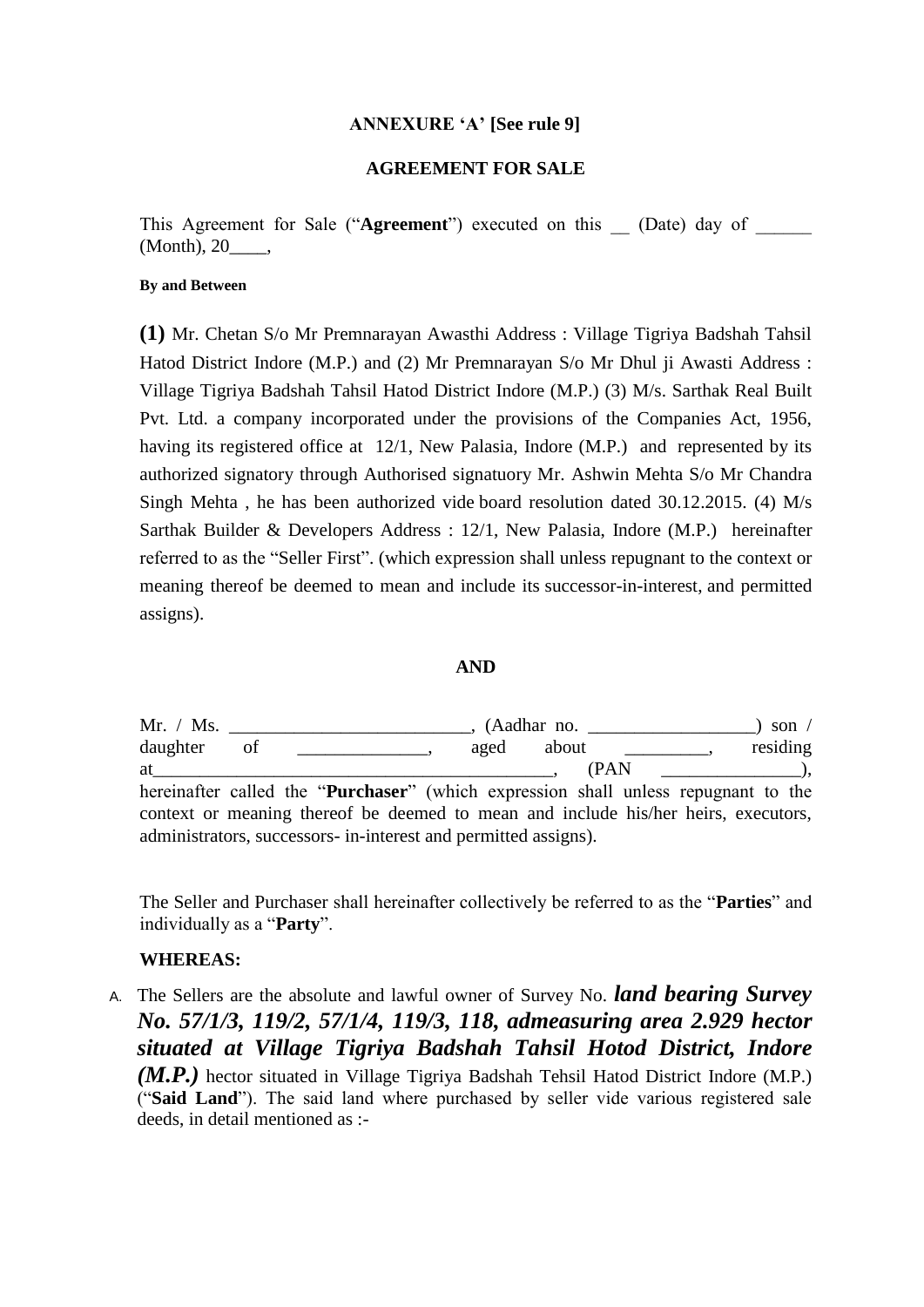# **ANNEXURE 'A' [See rule 9]**

## **AGREEMENT FOR SALE**

This Agreement for Sale ("**Agreement**") executed on this (Date) day of (Month), 20\_\_\_\_,

### **By and Between**

**(1)** Mr. Chetan S/o Mr Premnarayan Awasthi Address : Village Tigriya Badshah Tahsil Hatod District Indore (M.P.) and (2) Mr Premnarayan S/o Mr Dhul ji Awasti Address : Village Tigriya Badshah Tahsil Hatod District Indore (M.P.) (3) M/s. Sarthak Real Built Pvt. Ltd. a company incorporated under the provisions of the Companies Act, 1956, having its registered office at 12/1, New Palasia, Indore (M.P.) and represented by its authorized signatory through Authorised signatuory Mr. Ashwin Mehta S/o Mr Chandra Singh Mehta , he has been authorized vide board resolution dated 30.12.2015. (4) M/s Sarthak Builder & Developers Address : 12/1, New Palasia, Indore (M.P.) hereinafter referred to as the "Seller First". (which expression shall unless repugnant to the context or meaning thereof be deemed to mean and include its successor-in-interest, and permitted assigns).

# **AND**

|          |    |                                                                                             |      |       | son $\sqrt{ }$                     |  |
|----------|----|---------------------------------------------------------------------------------------------|------|-------|------------------------------------|--|
| daughter | 0Ť |                                                                                             | aged | about | residing                           |  |
| at       |    |                                                                                             |      | (PAN) | $\qquad \qquad -- \qquad \qquad .$ |  |
|          |    | hereinafter called the " <b>Purchaser</b> " (which expression shall unless repugnant to the |      |       |                                    |  |
|          |    | context or meaning thereof be deemed to mean and include his/her heirs, executors,          |      |       |                                    |  |
|          |    | administrators, successors- in-interest and permitted assigns).                             |      |       |                                    |  |

The Seller and Purchaser shall hereinafter collectively be referred to as the "**Parties**" and individually as a "**Party**".

# **WHEREAS:**

A. The Sellers are the absolute and lawful owner of Survey No. *land bearing Survey No. 57/1/3, 119/2, 57/1/4, 119/3, 118, admeasuring area 2.929 hector situated at Village Tigriya Badshah Tahsil Hotod District, Indore (M.P.)* hector situated in Village Tigriya Badshah Tehsil Hatod District Indore *(M.P.)* ("**Said Land**"). The said land where purchased by seller vide various registered sale deeds, in detail mentioned as :-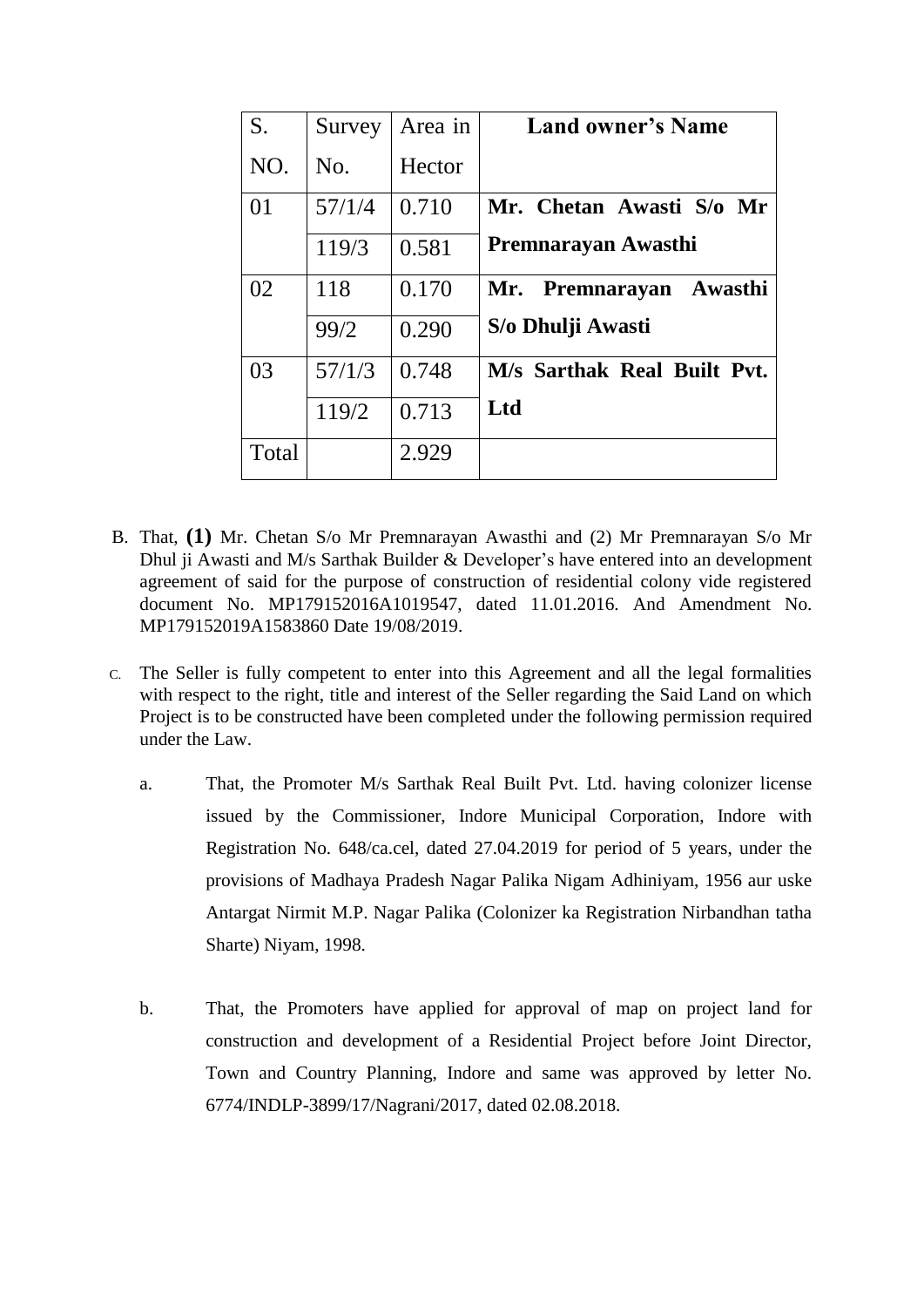| S.    | Survey | Area in | <b>Land owner's Name</b>    |
|-------|--------|---------|-----------------------------|
| NO.   | No.    | Hector  |                             |
| 01    | 57/1/4 | 0.710   | Mr. Chetan Awasti S/o Mr    |
|       | 119/3  | 0.581   | Premnarayan Awasthi         |
| 02    | 118    | 0.170   | Mr. Premnarayan Awasthi     |
|       | 99/2   | 0.290   | S/o Dhulji Awasti           |
| 03    | 57/1/3 | 0.748   | M/s Sarthak Real Built Pvt. |
|       | 119/2  | 0.713   | Ltd                         |
| Total |        | 2.929   |                             |

- B. That, **(1)** Mr. Chetan S/o Mr Premnarayan Awasthi and (2) Mr Premnarayan S/o Mr Dhul ji Awasti and M/s Sarthak Builder & Developer's have entered into an development agreement of said for the purpose of construction of residential colony vide registered document No. MP179152016A1019547, dated 11.01.2016. And Amendment No. MP179152019A1583860 Date 19/08/2019.
- C. The Seller is fully competent to enter into this Agreement and all the legal formalities with respect to the right, title and interest of the Seller regarding the Said Land on which Project is to be constructed have been completed under the following permission required under the Law.
	- a. That, the Promoter M/s Sarthak Real Built Pvt. Ltd. having colonizer license issued by the Commissioner, Indore Municipal Corporation, Indore with Registration No. 648/ca.cel, dated 27.04.2019 for period of 5 years, under the provisions of Madhaya Pradesh Nagar Palika Nigam Adhiniyam, 1956 aur uske Antargat Nirmit M.P. Nagar Palika (Colonizer ka Registration Nirbandhan tatha Sharte) Niyam, 1998.
	- b. That, the Promoters have applied for approval of map on project land for construction and development of a Residential Project before Joint Director, Town and Country Planning, Indore and same was approved by letter No. 6774/INDLP-3899/17/Nagrani/2017, dated 02.08.2018.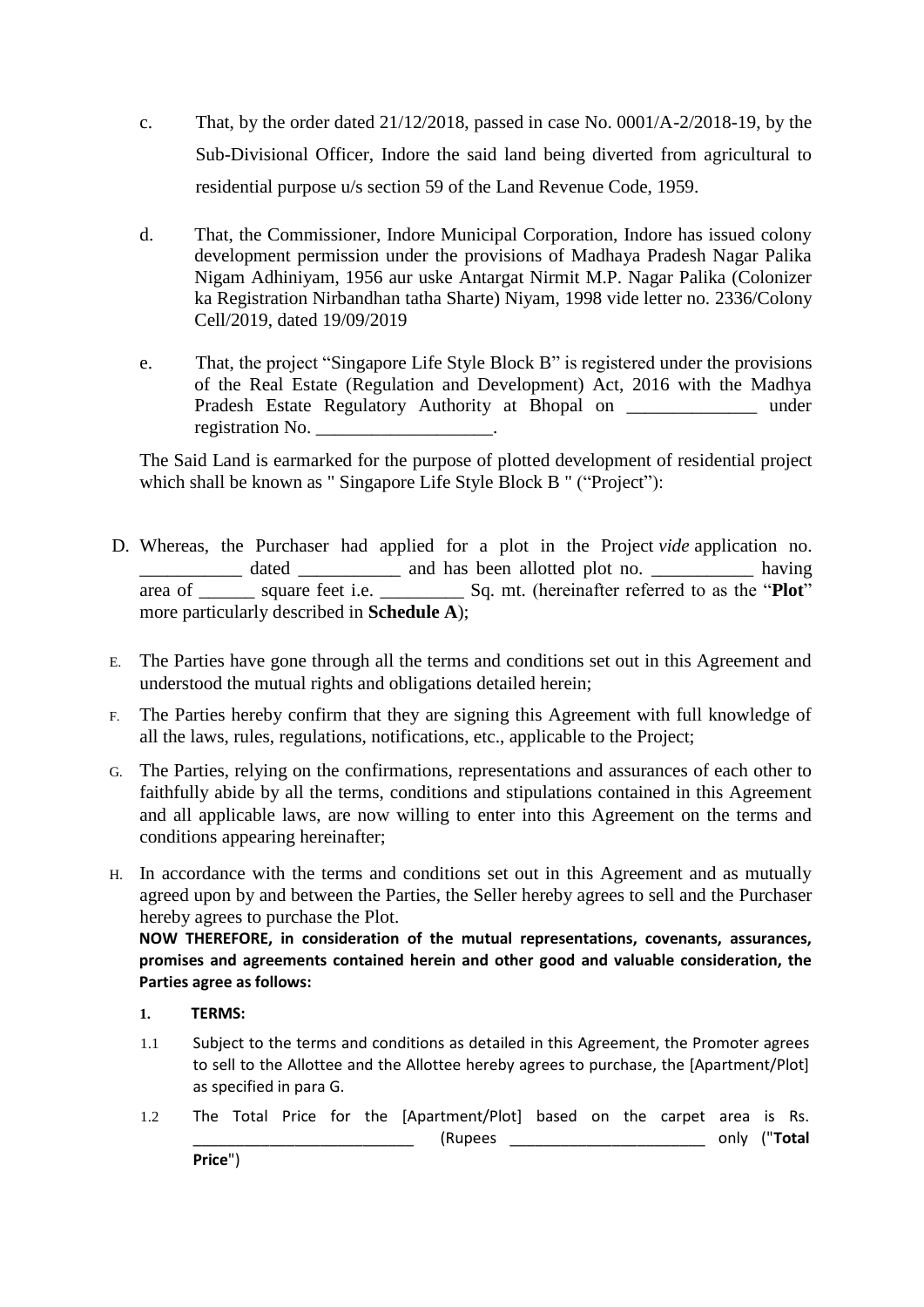- c. That, by the order dated 21/12/2018, passed in case No. 0001/A-2/2018-19, by the Sub-Divisional Officer, Indore the said land being diverted from agricultural to residential purpose u/s section 59 of the Land Revenue Code, 1959.
- d. That, the Commissioner, Indore Municipal Corporation, Indore has issued colony development permission under the provisions of Madhaya Pradesh Nagar Palika Nigam Adhiniyam, 1956 aur uske Antargat Nirmit M.P. Nagar Palika (Colonizer ka Registration Nirbandhan tatha Sharte) Niyam, 1998 vide letter no. 2336/Colony Cell/2019, dated 19/09/2019
- e. That, the project "Singapore Life Style Block B" is registered under the provisions of the Real Estate (Regulation and Development) Act, 2016 with the Madhya Pradesh Estate Regulatory Authority at Bhopal on \_\_\_\_\_\_\_\_\_\_\_\_\_\_\_\_ under registration No.

The Said Land is earmarked for the purpose of plotted development of residential project which shall be known as " Singapore Life Style Block B " ("Project"):

- D. Whereas, the Purchaser had applied for a plot in the Project *vide* application no. \_\_\_\_\_\_\_\_\_\_\_ dated \_\_\_\_\_\_\_\_\_\_\_ and has been allotted plot no. \_\_\_\_\_\_\_\_\_\_\_ having area of \_\_\_\_\_\_ square feet i.e. \_\_\_\_\_\_\_\_\_ Sq. mt. (hereinafter referred to as the "**Plot**" more particularly described in **Schedule A**);
- E. The Parties have gone through all the terms and conditions set out in this Agreement and understood the mutual rights and obligations detailed herein;
- F. The Parties hereby confirm that they are signing this Agreement with full knowledge of all the laws, rules, regulations, notifications, etc., applicable to the Project;
- G. The Parties, relying on the confirmations, representations and assurances of each other to faithfully abide by all the terms, conditions and stipulations contained in this Agreement and all applicable laws, are now willing to enter into this Agreement on the terms and conditions appearing hereinafter;
- H. In accordance with the terms and conditions set out in this Agreement and as mutually agreed upon by and between the Parties, the Seller hereby agrees to sell and the Purchaser hereby agrees to purchase the Plot.

**NOW THEREFORE, in consideration of the mutual representations, covenants, assurances, promises and agreements contained herein and other good and valuable consideration, the Parties agree as follows:** 

- **1. TERMS:**
- 1.1 Subject to the terms and conditions as detailed in this Agreement, the Promoter agrees to sell to the Allottee and the Allottee hereby agrees to purchase, the [Apartment/Plot] as specified in para G.
- 1.2 The Total Price for the [Apartment/Plot] based on the carpet area is Rs. \_\_\_\_\_\_\_\_\_\_\_\_\_\_\_\_\_\_\_\_\_\_\_\_\_\_ (Rupees \_\_\_\_\_\_\_\_\_\_\_\_\_\_\_\_\_\_\_\_\_\_\_ only ("**Total**

**Price**")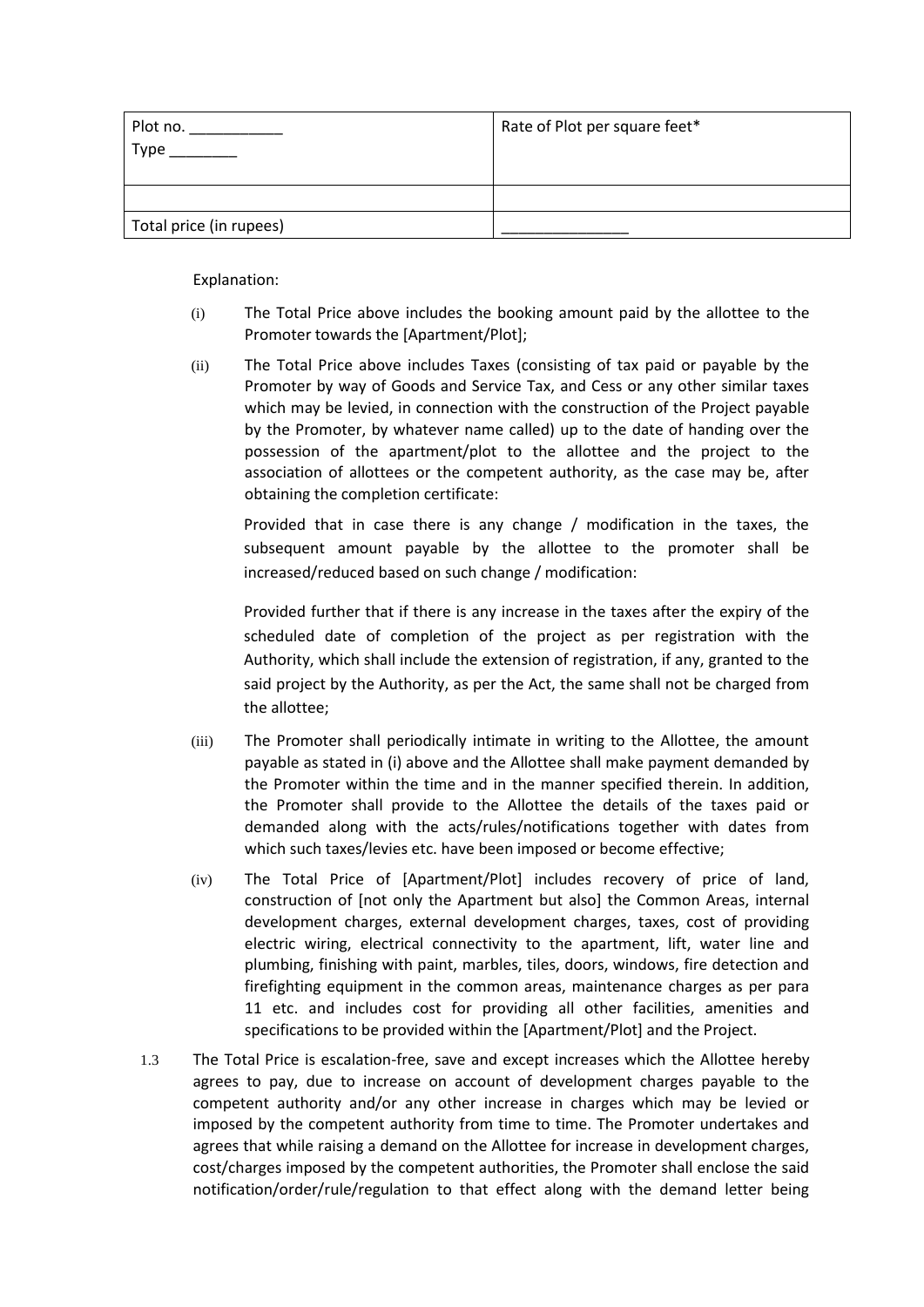| Plot no.                | Rate of Plot per square feet* |
|-------------------------|-------------------------------|
| Type                    |                               |
|                         |                               |
|                         |                               |
| Total price (in rupees) |                               |

Explanation:

- (i) The Total Price above includes the booking amount paid by the allottee to the Promoter towards the [Apartment/Plot];
- (ii) The Total Price above includes Taxes (consisting of tax paid or payable by the Promoter by way of Goods and Service Tax, and Cess or any other similar taxes which may be levied, in connection with the construction of the Project payable by the Promoter, by whatever name called) up to the date of handing over the possession of the apartment/plot to the allottee and the project to the association of allottees or the competent authority, as the case may be, after obtaining the completion certificate:

Provided that in case there is any change / modification in the taxes, the subsequent amount payable by the allottee to the promoter shall be increased/reduced based on such change / modification:

Provided further that if there is any increase in the taxes after the expiry of the scheduled date of completion of the project as per registration with the Authority, which shall include the extension of registration, if any, granted to the said project by the Authority, as per the Act, the same shall not be charged from the allottee;

- (iii) The Promoter shall periodically intimate in writing to the Allottee, the amount payable as stated in (i) above and the Allottee shall make payment demanded by the Promoter within the time and in the manner specified therein. In addition, the Promoter shall provide to the Allottee the details of the taxes paid or demanded along with the acts/rules/notifications together with dates from which such taxes/levies etc. have been imposed or become effective;
- (iv) The Total Price of [Apartment/Plot] includes recovery of price of land, construction of [not only the Apartment but also] the Common Areas, internal development charges, external development charges, taxes, cost of providing electric wiring, electrical connectivity to the apartment, lift, water line and plumbing, finishing with paint, marbles, tiles, doors, windows, fire detection and firefighting equipment in the common areas, maintenance charges as per para 11 etc. and includes cost for providing all other facilities, amenities and specifications to be provided within the [Apartment/Plot] and the Project.
- 1.3 The Total Price is escalation-free, save and except increases which the Allottee hereby agrees to pay, due to increase on account of development charges payable to the competent authority and/or any other increase in charges which may be levied or imposed by the competent authority from time to time. The Promoter undertakes and agrees that while raising a demand on the Allottee for increase in development charges, cost/charges imposed by the competent authorities, the Promoter shall enclose the said notification/order/rule/regulation to that effect along with the demand letter being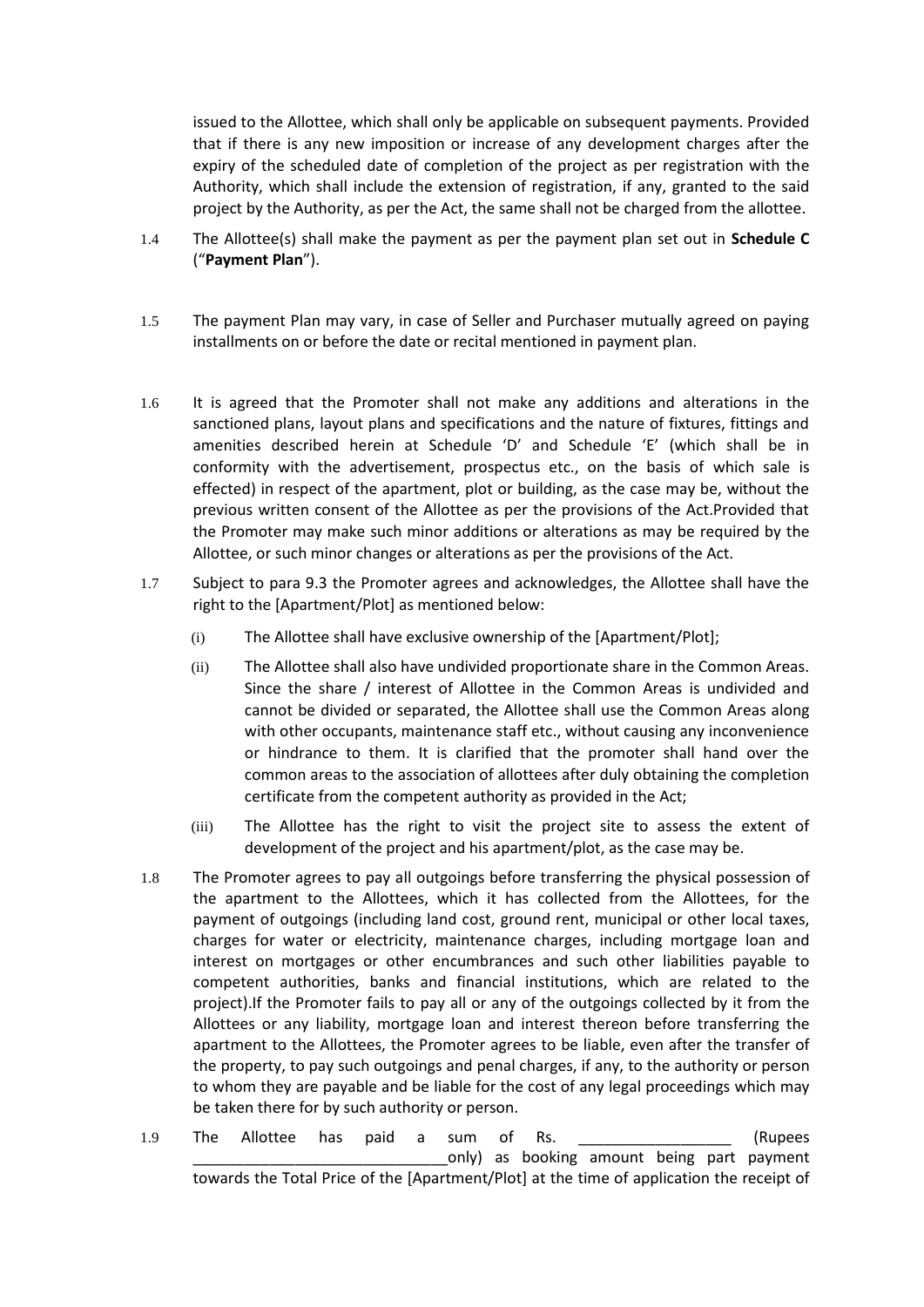issued to the Allottee, which shall only be applicable on subsequent payments. Provided that if there is any new imposition or increase of any development charges after the expiry of the scheduled date of completion of the project as per registration with the Authority, which shall include the extension of registration, if any, granted to the said project by the Authority, as per the Act, the same shall not be charged from the allottee.

- 1.4 The Allottee(s) shall make the payment as per the payment plan set out in **Schedule C** ("**Payment Plan**").
- 1.5 The payment Plan may vary, in case of Seller and Purchaser mutually agreed on paying installments on or before the date or recital mentioned in payment plan.
- 1.6 It is agreed that the Promoter shall not make any additions and alterations in the sanctioned plans, layout plans and specifications and the nature of fixtures, fittings and amenities described herein at Schedule 'D' and Schedule 'E' (which shall be in conformity with the advertisement, prospectus etc., on the basis of which sale is effected) in respect of the apartment, plot or building, as the case may be, without the previous written consent of the Allottee as per the provisions of the Act.Provided that the Promoter may make such minor additions or alterations as may be required by the Allottee, or such minor changes or alterations as per the provisions of the Act.
- 1.7 Subject to para 9.3 the Promoter agrees and acknowledges, the Allottee shall have the right to the [Apartment/Plot] as mentioned below:
	- (i) The Allottee shall have exclusive ownership of the [Apartment/Plot];
	- (ii) The Allottee shall also have undivided proportionate share in the Common Areas. Since the share / interest of Allottee in the Common Areas is undivided and cannot be divided or separated, the Allottee shall use the Common Areas along with other occupants, maintenance staff etc., without causing any inconvenience or hindrance to them. It is clarified that the promoter shall hand over the common areas to the association of allottees after duly obtaining the completion certificate from the competent authority as provided in the Act;
	- (iii) The Allottee has the right to visit the project site to assess the extent of development of the project and his apartment/plot, as the case may be.
- 1.8 The Promoter agrees to pay all outgoings before transferring the physical possession of the apartment to the Allottees, which it has collected from the Allottees, for the payment of outgoings (including land cost, ground rent, municipal or other local taxes, charges for water or electricity, maintenance charges, including mortgage loan and interest on mortgages or other encumbrances and such other liabilities payable to competent authorities, banks and financial institutions, which are related to the project).If the Promoter fails to pay all or any of the outgoings collected by it from the Allottees or any liability, mortgage loan and interest thereon before transferring the apartment to the Allottees, the Promoter agrees to be liable, even after the transfer of the property, to pay such outgoings and penal charges, if any, to the authority or person to whom they are payable and be liable for the cost of any legal proceedings which may be taken there for by such authority or person.
- 1.9 The Allottee has paid a sum of Rs. \_\_\_\_\_\_\_\_\_\_\_\_\_\_\_\_\_\_\_\_\_ (Rupees only) as booking amount being part payment towards the Total Price of the [Apartment/Plot] at the time of application the receipt of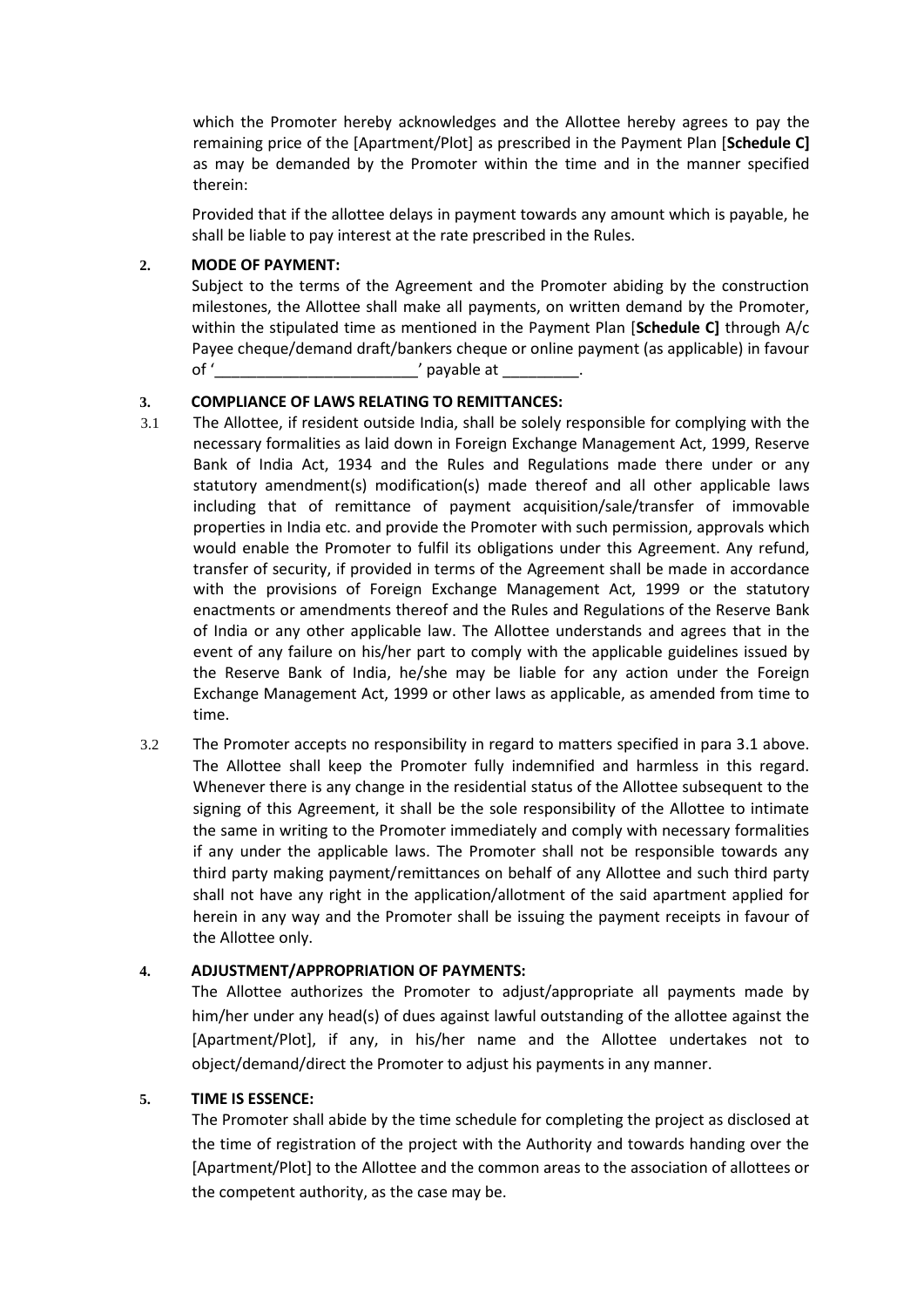which the Promoter hereby acknowledges and the Allottee hereby agrees to pay the remaining price of the [Apartment/Plot] as prescribed in the Payment Plan [**Schedule C]** as may be demanded by the Promoter within the time and in the manner specified therein:

Provided that if the allottee delays in payment towards any amount which is payable, he shall be liable to pay interest at the rate prescribed in the Rules.

### **2. MODE OF PAYMENT:**

Subject to the terms of the Agreement and the Promoter abiding by the construction milestones, the Allottee shall make all payments, on written demand by the Promoter, within the stipulated time as mentioned in the Payment Plan [**Schedule C]** through A/c Payee cheque/demand draft/bankers cheque or online payment (as applicable) in favour of '\_\_\_\_\_\_\_\_\_\_\_\_\_\_\_\_\_\_\_\_\_\_\_\_' payable at \_\_\_\_\_\_\_\_\_.

## **3. COMPLIANCE OF LAWS RELATING TO REMITTANCES:**

- 3.1 The Allottee, if resident outside India, shall be solely responsible for complying with the necessary formalities as laid down in Foreign Exchange Management Act, 1999, Reserve Bank of India Act, 1934 and the Rules and Regulations made there under or any statutory amendment(s) modification(s) made thereof and all other applicable laws including that of remittance of payment acquisition/sale/transfer of immovable properties in India etc. and provide the Promoter with such permission, approvals which would enable the Promoter to fulfil its obligations under this Agreement. Any refund, transfer of security, if provided in terms of the Agreement shall be made in accordance with the provisions of Foreign Exchange Management Act, 1999 or the statutory enactments or amendments thereof and the Rules and Regulations of the Reserve Bank of India or any other applicable law. The Allottee understands and agrees that in the event of any failure on his/her part to comply with the applicable guidelines issued by the Reserve Bank of India, he/she may be liable for any action under the Foreign Exchange Management Act, 1999 or other laws as applicable, as amended from time to time.
- 3.2 The Promoter accepts no responsibility in regard to matters specified in para 3.1 above. The Allottee shall keep the Promoter fully indemnified and harmless in this regard. Whenever there is any change in the residential status of the Allottee subsequent to the signing of this Agreement, it shall be the sole responsibility of the Allottee to intimate the same in writing to the Promoter immediately and comply with necessary formalities if any under the applicable laws. The Promoter shall not be responsible towards any third party making payment/remittances on behalf of any Allottee and such third party shall not have any right in the application/allotment of the said apartment applied for herein in any way and the Promoter shall be issuing the payment receipts in favour of the Allottee only.

# **4. ADJUSTMENT/APPROPRIATION OF PAYMENTS:**

The Allottee authorizes the Promoter to adjust/appropriate all payments made by him/her under any head(s) of dues against lawful outstanding of the allottee against the [Apartment/Plot], if any, in his/her name and the Allottee undertakes not to object/demand/direct the Promoter to adjust his payments in any manner.

### **5. TIME IS ESSENCE:**

The Promoter shall abide by the time schedule for completing the project as disclosed at the time of registration of the project with the Authority and towards handing over the [Apartment/Plot] to the Allottee and the common areas to the association of allottees or the competent authority, as the case may be.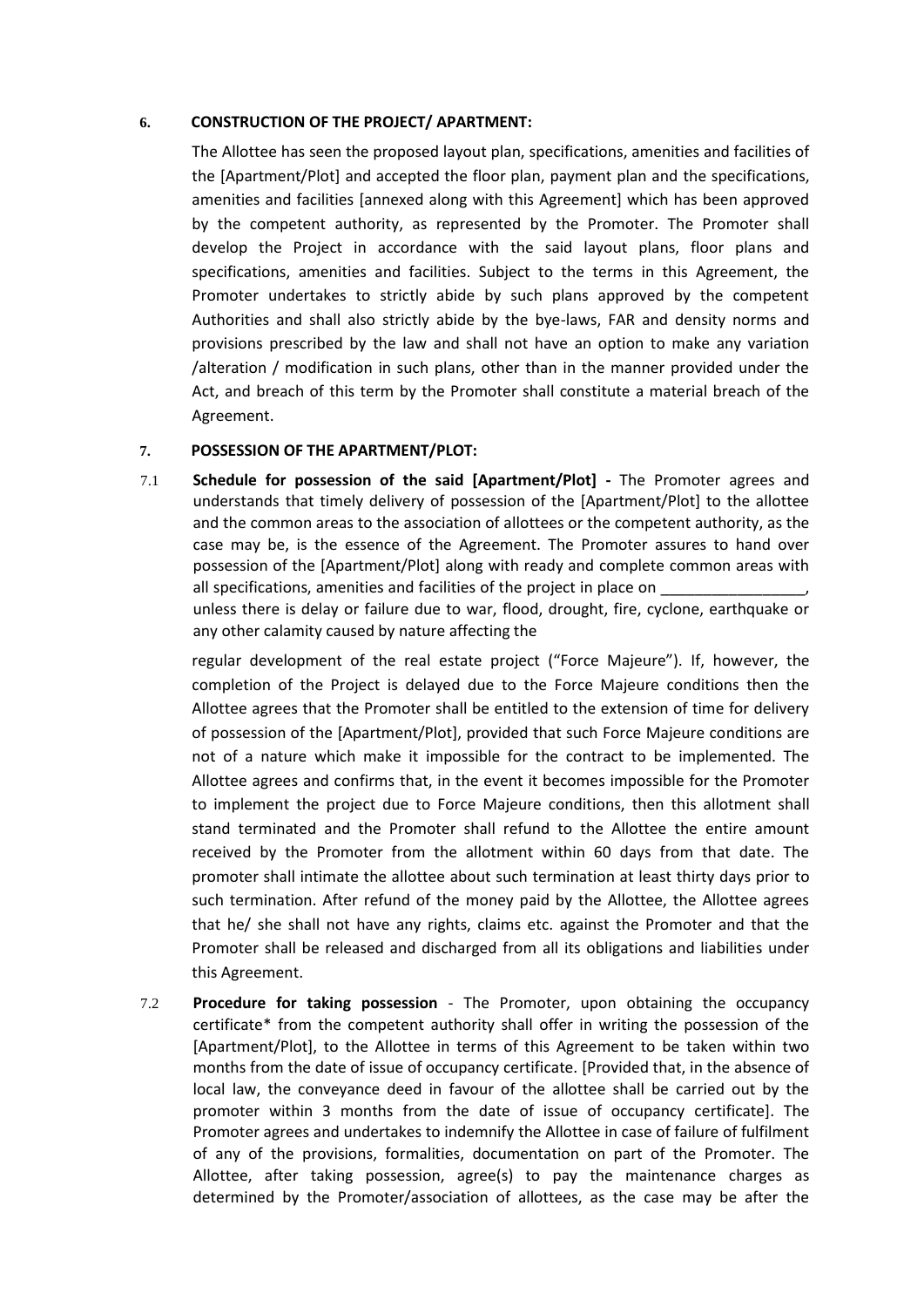### **6. CONSTRUCTION OF THE PROJECT/ APARTMENT:**

The Allottee has seen the proposed layout plan, specifications, amenities and facilities of the [Apartment/Plot] and accepted the floor plan, payment plan and the specifications, amenities and facilities [annexed along with this Agreement] which has been approved by the competent authority, as represented by the Promoter. The Promoter shall develop the Project in accordance with the said layout plans, floor plans and specifications, amenities and facilities. Subject to the terms in this Agreement, the Promoter undertakes to strictly abide by such plans approved by the competent Authorities and shall also strictly abide by the bye-laws, FAR and density norms and provisions prescribed by the law and shall not have an option to make any variation /alteration / modification in such plans, other than in the manner provided under the Act, and breach of this term by the Promoter shall constitute a material breach of the Agreement.

### **7. POSSESSION OF THE APARTMENT/PLOT:**

7.1 **Schedule for possession of the said [Apartment/Plot] -** The Promoter agrees and understands that timely delivery of possession of the [Apartment/Plot] to the allottee and the common areas to the association of allottees or the competent authority, as the case may be, is the essence of the Agreement. The Promoter assures to hand over possession of the [Apartment/Plot] along with ready and complete common areas with all specifications, amenities and facilities of the project in place on

unless there is delay or failure due to war, flood, drought, fire, cyclone, earthquake or any other calamity caused by nature affecting the

regular development of the real estate project ("Force Majeure"). If, however, the completion of the Project is delayed due to the Force Majeure conditions then the Allottee agrees that the Promoter shall be entitled to the extension of time for delivery of possession of the [Apartment/Plot], provided that such Force Majeure conditions are not of a nature which make it impossible for the contract to be implemented. The Allottee agrees and confirms that, in the event it becomes impossible for the Promoter to implement the project due to Force Majeure conditions, then this allotment shall stand terminated and the Promoter shall refund to the Allottee the entire amount received by the Promoter from the allotment within 60 days from that date. The promoter shall intimate the allottee about such termination at least thirty days prior to such termination. After refund of the money paid by the Allottee, the Allottee agrees that he/ she shall not have any rights, claims etc. against the Promoter and that the Promoter shall be released and discharged from all its obligations and liabilities under this Agreement.

7.2 **Procedure for taking possession** - The Promoter, upon obtaining the occupancy certificate\* from the competent authority shall offer in writing the possession of the [Apartment/Plot], to the Allottee in terms of this Agreement to be taken within two months from the date of issue of occupancy certificate. [Provided that, in the absence of local law, the conveyance deed in favour of the allottee shall be carried out by the promoter within 3 months from the date of issue of occupancy certificate]. The Promoter agrees and undertakes to indemnify the Allottee in case of failure of fulfilment of any of the provisions, formalities, documentation on part of the Promoter. The Allottee, after taking possession, agree(s) to pay the maintenance charges as determined by the Promoter/association of allottees, as the case may be after the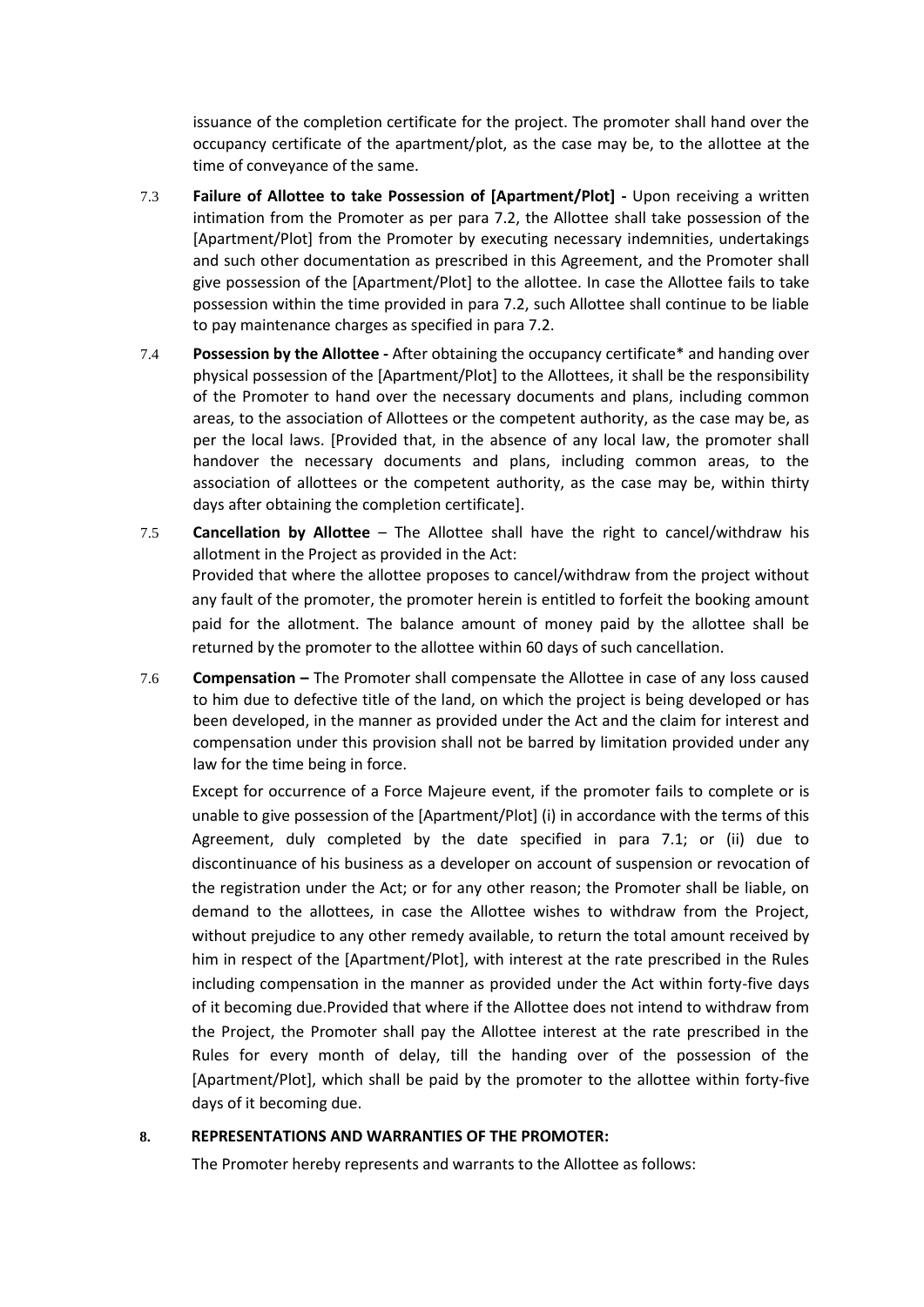issuance of the completion certificate for the project. The promoter shall hand over the occupancy certificate of the apartment/plot, as the case may be, to the allottee at the time of conveyance of the same.

- 7.3 **Failure of Allottee to take Possession of [Apartment/Plot] -** Upon receiving a written intimation from the Promoter as per para 7.2, the Allottee shall take possession of the [Apartment/Plot] from the Promoter by executing necessary indemnities, undertakings and such other documentation as prescribed in this Agreement, and the Promoter shall give possession of the [Apartment/Plot] to the allottee. In case the Allottee fails to take possession within the time provided in para 7.2, such Allottee shall continue to be liable to pay maintenance charges as specified in para 7.2.
- 7.4 **Possession by the Allottee -** After obtaining the occupancy certificate\* and handing over physical possession of the [Apartment/Plot] to the Allottees, it shall be the responsibility of the Promoter to hand over the necessary documents and plans, including common areas, to the association of Allottees or the competent authority, as the case may be, as per the local laws. [Provided that, in the absence of any local law, the promoter shall handover the necessary documents and plans, including common areas, to the association of allottees or the competent authority, as the case may be, within thirty days after obtaining the completion certificate].
- 7.5 **Cancellation by Allottee** The Allottee shall have the right to cancel/withdraw his allotment in the Project as provided in the Act: Provided that where the allottee proposes to cancel/withdraw from the project without any fault of the promoter, the promoter herein is entitled to forfeit the booking amount paid for the allotment. The balance amount of money paid by the allottee shall be returned by the promoter to the allottee within 60 days of such cancellation.
- 7.6 **Compensation –** The Promoter shall compensate the Allottee in case of any loss caused to him due to defective title of the land, on which the project is being developed or has been developed, in the manner as provided under the Act and the claim for interest and compensation under this provision shall not be barred by limitation provided under any law for the time being in force.

Except for occurrence of a Force Majeure event, if the promoter fails to complete or is unable to give possession of the [Apartment/Plot] (i) in accordance with the terms of this Agreement, duly completed by the date specified in para 7.1; or (ii) due to discontinuance of his business as a developer on account of suspension or revocation of the registration under the Act; or for any other reason; the Promoter shall be liable, on demand to the allottees, in case the Allottee wishes to withdraw from the Project, without prejudice to any other remedy available, to return the total amount received by him in respect of the [Apartment/Plot], with interest at the rate prescribed in the Rules including compensation in the manner as provided under the Act within forty-five days of it becoming due.Provided that where if the Allottee does not intend to withdraw from the Project, the Promoter shall pay the Allottee interest at the rate prescribed in the Rules for every month of delay, till the handing over of the possession of the [Apartment/Plot], which shall be paid by the promoter to the allottee within forty-five days of it becoming due.

### **8. REPRESENTATIONS AND WARRANTIES OF THE PROMOTER:**

The Promoter hereby represents and warrants to the Allottee as follows: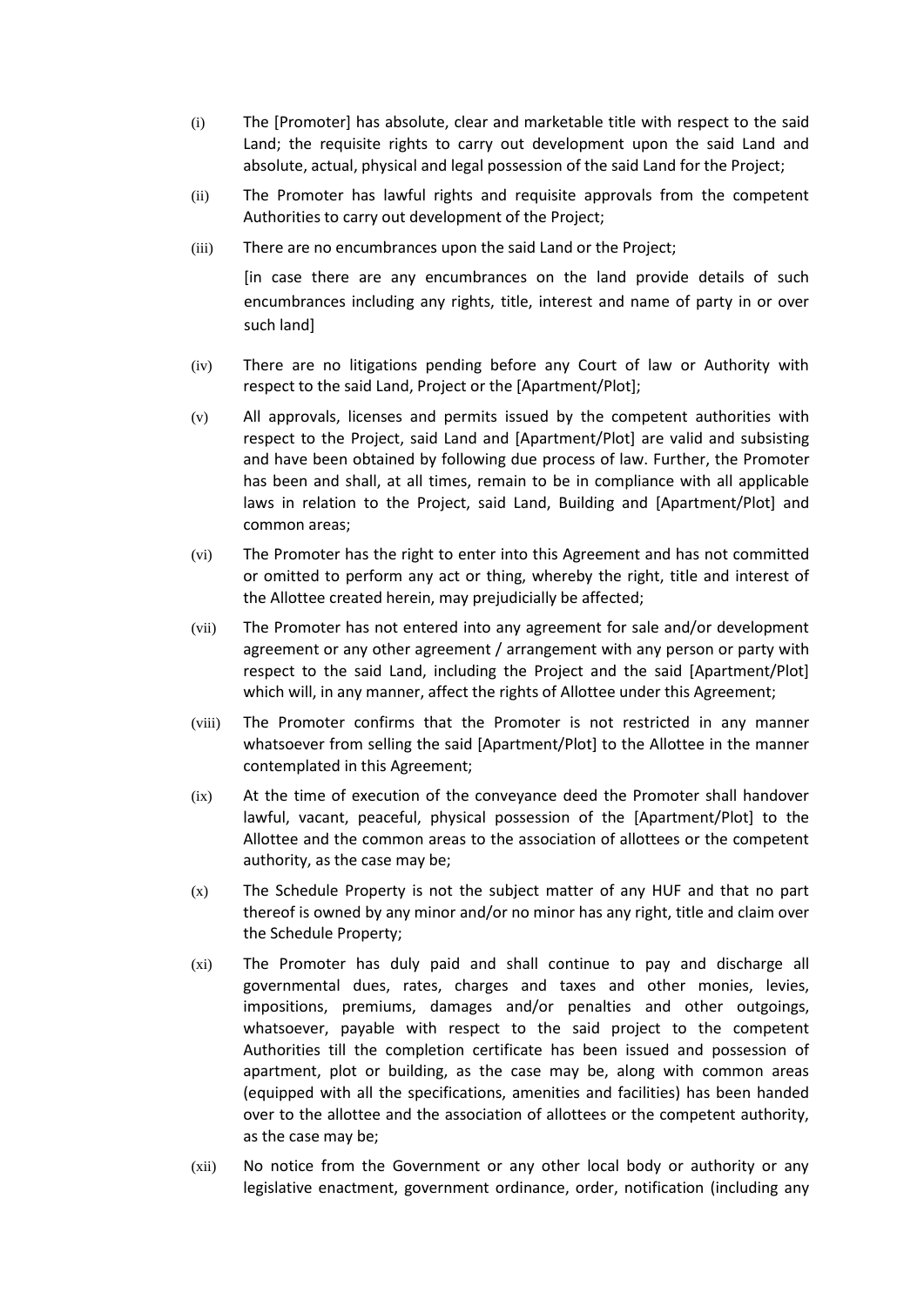- (i) The [Promoter] has absolute, clear and marketable title with respect to the said Land; the requisite rights to carry out development upon the said Land and absolute, actual, physical and legal possession of the said Land for the Project;
- (ii) The Promoter has lawful rights and requisite approvals from the competent Authorities to carry out development of the Project;
- (iii) There are no encumbrances upon the said Land or the Project;

[in case there are any encumbrances on the land provide details of such encumbrances including any rights, title, interest and name of party in or over such land]

- (iv) There are no litigations pending before any Court of law or Authority with respect to the said Land, Project or the [Apartment/Plot];
- (v) All approvals, licenses and permits issued by the competent authorities with respect to the Project, said Land and [Apartment/Plot] are valid and subsisting and have been obtained by following due process of law. Further, the Promoter has been and shall, at all times, remain to be in compliance with all applicable laws in relation to the Project, said Land, Building and [Apartment/Plot] and common areas;
- (vi) The Promoter has the right to enter into this Agreement and has not committed or omitted to perform any act or thing, whereby the right, title and interest of the Allottee created herein, may prejudicially be affected;
- (vii) The Promoter has not entered into any agreement for sale and/or development agreement or any other agreement / arrangement with any person or party with respect to the said Land, including the Project and the said [Apartment/Plot] which will, in any manner, affect the rights of Allottee under this Agreement;
- (viii) The Promoter confirms that the Promoter is not restricted in any manner whatsoever from selling the said [Apartment/Plot] to the Allottee in the manner contemplated in this Agreement;
- (ix) At the time of execution of the conveyance deed the Promoter shall handover lawful, vacant, peaceful, physical possession of the [Apartment/Plot] to the Allottee and the common areas to the association of allottees or the competent authority, as the case may be;
- (x) The Schedule Property is not the subject matter of any HUF and that no part thereof is owned by any minor and/or no minor has any right, title and claim over the Schedule Property;
- (xi) The Promoter has duly paid and shall continue to pay and discharge all governmental dues, rates, charges and taxes and other monies, levies, impositions, premiums, damages and/or penalties and other outgoings, whatsoever, payable with respect to the said project to the competent Authorities till the completion certificate has been issued and possession of apartment, plot or building, as the case may be, along with common areas (equipped with all the specifications, amenities and facilities) has been handed over to the allottee and the association of allottees or the competent authority, as the case may be;
- (xii) No notice from the Government or any other local body or authority or any legislative enactment, government ordinance, order, notification (including any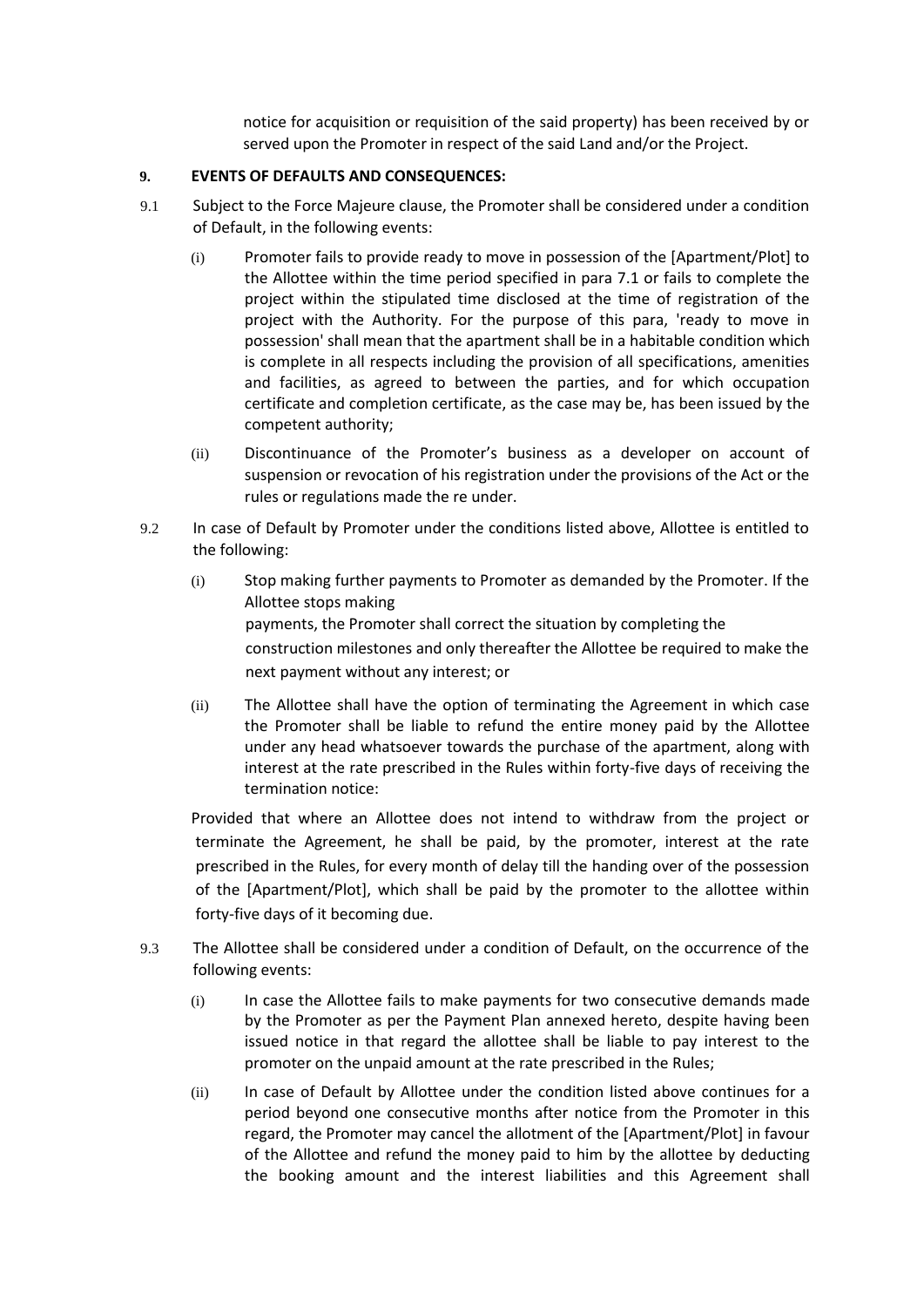notice for acquisition or requisition of the said property) has been received by or served upon the Promoter in respect of the said Land and/or the Project.

### **9. EVENTS OF DEFAULTS AND CONSEQUENCES:**

- 9.1 Subject to the Force Majeure clause, the Promoter shall be considered under a condition of Default, in the following events:
	- (i) Promoter fails to provide ready to move in possession of the [Apartment/Plot] to the Allottee within the time period specified in para 7.1 or fails to complete the project within the stipulated time disclosed at the time of registration of the project with the Authority. For the purpose of this para, 'ready to move in possession' shall mean that the apartment shall be in a habitable condition which is complete in all respects including the provision of all specifications, amenities and facilities, as agreed to between the parties, and for which occupation certificate and completion certificate, as the case may be, has been issued by the competent authority;
	- (ii) Discontinuance of the Promoter's business as a developer on account of suspension or revocation of his registration under the provisions of the Act or the rules or regulations made the re under.
- 9.2 In case of Default by Promoter under the conditions listed above, Allottee is entitled to the following:
	- (i) Stop making further payments to Promoter as demanded by the Promoter. If the Allottee stops making payments, the Promoter shall correct the situation by completing the construction milestones and only thereafter the Allottee be required to make the next payment without any interest; or
	- (ii) The Allottee shall have the option of terminating the Agreement in which case the Promoter shall be liable to refund the entire money paid by the Allottee under any head whatsoever towards the purchase of the apartment, along with interest at the rate prescribed in the Rules within forty-five days of receiving the termination notice:

Provided that where an Allottee does not intend to withdraw from the project or terminate the Agreement, he shall be paid, by the promoter, interest at the rate prescribed in the Rules, for every month of delay till the handing over of the possession of the [Apartment/Plot], which shall be paid by the promoter to the allottee within forty-five days of it becoming due.

- 9.3 The Allottee shall be considered under a condition of Default, on the occurrence of the following events:
	- (i) In case the Allottee fails to make payments for two consecutive demands made by the Promoter as per the Payment Plan annexed hereto, despite having been issued notice in that regard the allottee shall be liable to pay interest to the promoter on the unpaid amount at the rate prescribed in the Rules;
	- (ii) In case of Default by Allottee under the condition listed above continues for a period beyond one consecutive months after notice from the Promoter in this regard, the Promoter may cancel the allotment of the [Apartment/Plot] in favour of the Allottee and refund the money paid to him by the allottee by deducting the booking amount and the interest liabilities and this Agreement shall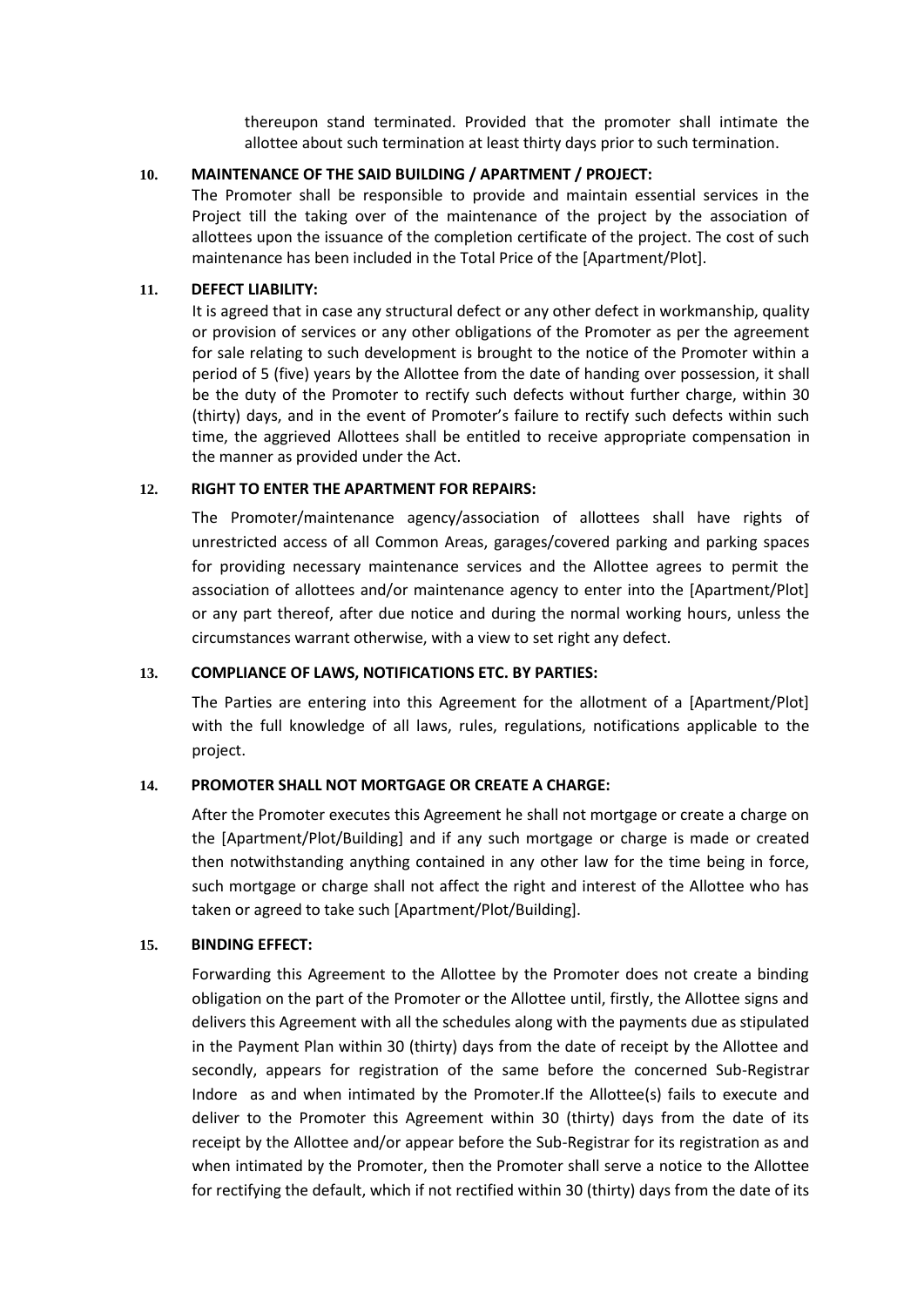thereupon stand terminated. Provided that the promoter shall intimate the allottee about such termination at least thirty days prior to such termination.

### **10. MAINTENANCE OF THE SAID BUILDING / APARTMENT / PROJECT:**

The Promoter shall be responsible to provide and maintain essential services in the Project till the taking over of the maintenance of the project by the association of allottees upon the issuance of the completion certificate of the project. The cost of such maintenance has been included in the Total Price of the [Apartment/Plot].

### **11. DEFECT LIABILITY:**

It is agreed that in case any structural defect or any other defect in workmanship, quality or provision of services or any other obligations of the Promoter as per the agreement for sale relating to such development is brought to the notice of the Promoter within a period of 5 (five) years by the Allottee from the date of handing over possession, it shall be the duty of the Promoter to rectify such defects without further charge, within 30 (thirty) days, and in the event of Promoter's failure to rectify such defects within such time, the aggrieved Allottees shall be entitled to receive appropriate compensation in the manner as provided under the Act.

### **12. RIGHT TO ENTER THE APARTMENT FOR REPAIRS:**

The Promoter/maintenance agency/association of allottees shall have rights of unrestricted access of all Common Areas, garages/covered parking and parking spaces for providing necessary maintenance services and the Allottee agrees to permit the association of allottees and/or maintenance agency to enter into the [Apartment/Plot] or any part thereof, after due notice and during the normal working hours, unless the circumstances warrant otherwise, with a view to set right any defect.

#### **13. COMPLIANCE OF LAWS, NOTIFICATIONS ETC. BY PARTIES:**

The Parties are entering into this Agreement for the allotment of a [Apartment/Plot] with the full knowledge of all laws, rules, regulations, notifications applicable to the project.

### **14. PROMOTER SHALL NOT MORTGAGE OR CREATE A CHARGE:**

After the Promoter executes this Agreement he shall not mortgage or create a charge on the [Apartment/Plot/Building] and if any such mortgage or charge is made or created then notwithstanding anything contained in any other law for the time being in force, such mortgage or charge shall not affect the right and interest of the Allottee who has taken or agreed to take such [Apartment/Plot/Building].

#### **15. BINDING EFFECT:**

Forwarding this Agreement to the Allottee by the Promoter does not create a binding obligation on the part of the Promoter or the Allottee until, firstly, the Allottee signs and delivers this Agreement with all the schedules along with the payments due as stipulated in the Payment Plan within 30 (thirty) days from the date of receipt by the Allottee and secondly, appears for registration of the same before the concerned Sub-Registrar Indore as and when intimated by the Promoter.If the Allottee(s) fails to execute and deliver to the Promoter this Agreement within 30 (thirty) days from the date of its receipt by the Allottee and/or appear before the Sub-Registrar for its registration as and when intimated by the Promoter, then the Promoter shall serve a notice to the Allottee for rectifying the default, which if not rectified within 30 (thirty) days from the date of its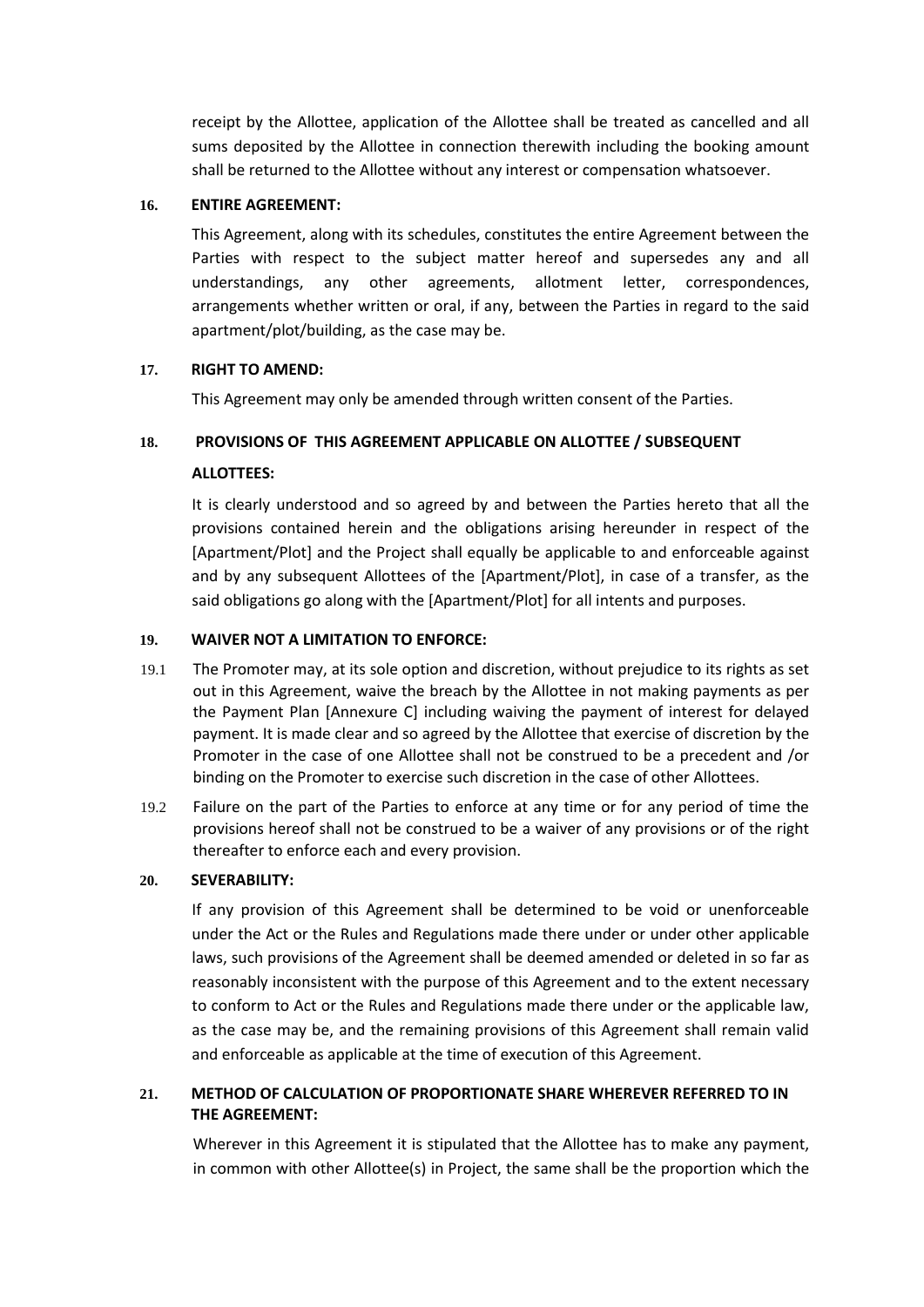receipt by the Allottee, application of the Allottee shall be treated as cancelled and all sums deposited by the Allottee in connection therewith including the booking amount shall be returned to the Allottee without any interest or compensation whatsoever.

### **16. ENTIRE AGREEMENT:**

This Agreement, along with its schedules, constitutes the entire Agreement between the Parties with respect to the subject matter hereof and supersedes any and all understandings, any other agreements, allotment letter, correspondences, arrangements whether written or oral, if any, between the Parties in regard to the said apartment/plot/building, as the case may be.

## **17. RIGHT TO AMEND:**

This Agreement may only be amended through written consent of the Parties.

# **18. PROVISIONS OF THIS AGREEMENT APPLICABLE ON ALLOTTEE / SUBSEQUENT**

## **ALLOTTEES:**

It is clearly understood and so agreed by and between the Parties hereto that all the provisions contained herein and the obligations arising hereunder in respect of the [Apartment/Plot] and the Project shall equally be applicable to and enforceable against and by any subsequent Allottees of the [Apartment/Plot], in case of a transfer, as the said obligations go along with the [Apartment/Plot] for all intents and purposes.

## **19. WAIVER NOT A LIMITATION TO ENFORCE:**

- 19.1 The Promoter may, at its sole option and discretion, without prejudice to its rights as set out in this Agreement, waive the breach by the Allottee in not making payments as per the Payment Plan [Annexure C] including waiving the payment of interest for delayed payment. It is made clear and so agreed by the Allottee that exercise of discretion by the Promoter in the case of one Allottee shall not be construed to be a precedent and /or binding on the Promoter to exercise such discretion in the case of other Allottees.
- 19.2 Failure on the part of the Parties to enforce at any time or for any period of time the provisions hereof shall not be construed to be a waiver of any provisions or of the right thereafter to enforce each and every provision.

# **20. SEVERABILITY:**

If any provision of this Agreement shall be determined to be void or unenforceable under the Act or the Rules and Regulations made there under or under other applicable laws, such provisions of the Agreement shall be deemed amended or deleted in so far as reasonably inconsistent with the purpose of this Agreement and to the extent necessary to conform to Act or the Rules and Regulations made there under or the applicable law, as the case may be, and the remaining provisions of this Agreement shall remain valid and enforceable as applicable at the time of execution of this Agreement.

# **21. METHOD OF CALCULATION OF PROPORTIONATE SHARE WHEREVER REFERRED TO IN THE AGREEMENT:**

Wherever in this Agreement it is stipulated that the Allottee has to make any payment, in common with other Allottee(s) in Project, the same shall be the proportion which the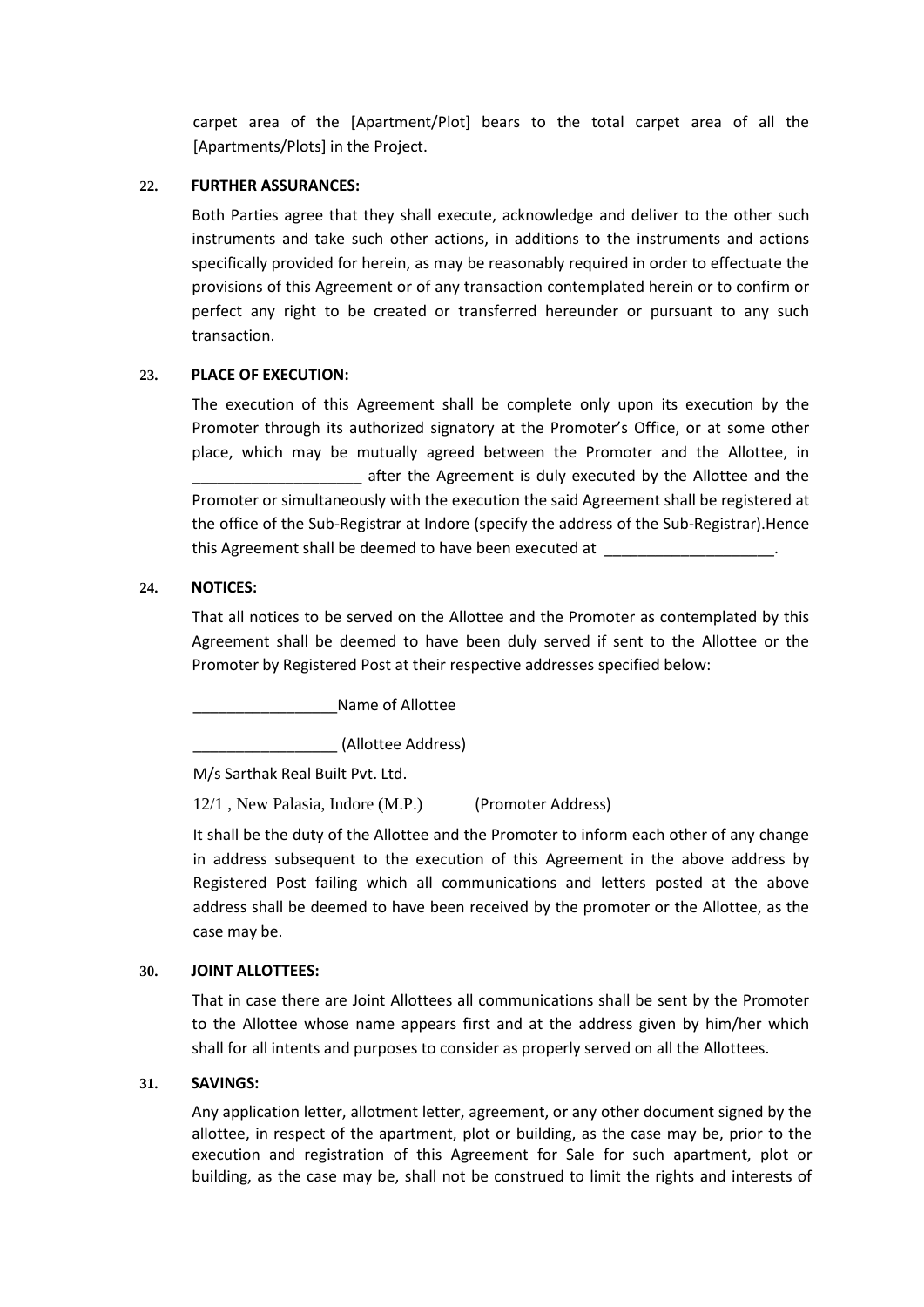carpet area of the [Apartment/Plot] bears to the total carpet area of all the [Apartments/Plots] in the Project.

### **22. FURTHER ASSURANCES:**

Both Parties agree that they shall execute, acknowledge and deliver to the other such instruments and take such other actions, in additions to the instruments and actions specifically provided for herein, as may be reasonably required in order to effectuate the provisions of this Agreement or of any transaction contemplated herein or to confirm or perfect any right to be created or transferred hereunder or pursuant to any such transaction.

## **23. PLACE OF EXECUTION:**

The execution of this Agreement shall be complete only upon its execution by the Promoter through its authorized signatory at the Promoter's Office, or at some other place, which may be mutually agreed between the Promoter and the Allottee, in after the Agreement is duly executed by the Allottee and the Promoter or simultaneously with the execution the said Agreement shall be registered at the office of the Sub-Registrar at Indore (specify the address of the Sub-Registrar).Hence this Agreement shall be deemed to have been executed at

## **24. NOTICES:**

That all notices to be served on the Allottee and the Promoter as contemplated by this Agreement shall be deemed to have been duly served if sent to the Allottee or the Promoter by Registered Post at their respective addresses specified below:

Name of Allottee

\_\_\_\_\_\_\_\_\_\_\_\_\_\_\_\_\_ (Allottee Address)

M/s Sarthak Real Built Pvt. Ltd.

12/1 , New Palasia, Indore (M.P.) (Promoter Address)

It shall be the duty of the Allottee and the Promoter to inform each other of any change in address subsequent to the execution of this Agreement in the above address by Registered Post failing which all communications and letters posted at the above address shall be deemed to have been received by the promoter or the Allottee, as the case may be.

### **30. JOINT ALLOTTEES:**

That in case there are Joint Allottees all communications shall be sent by the Promoter to the Allottee whose name appears first and at the address given by him/her which shall for all intents and purposes to consider as properly served on all the Allottees.

### **31. SAVINGS:**

Any application letter, allotment letter, agreement, or any other document signed by the allottee, in respect of the apartment, plot or building, as the case may be, prior to the execution and registration of this Agreement for Sale for such apartment, plot or building, as the case may be, shall not be construed to limit the rights and interests of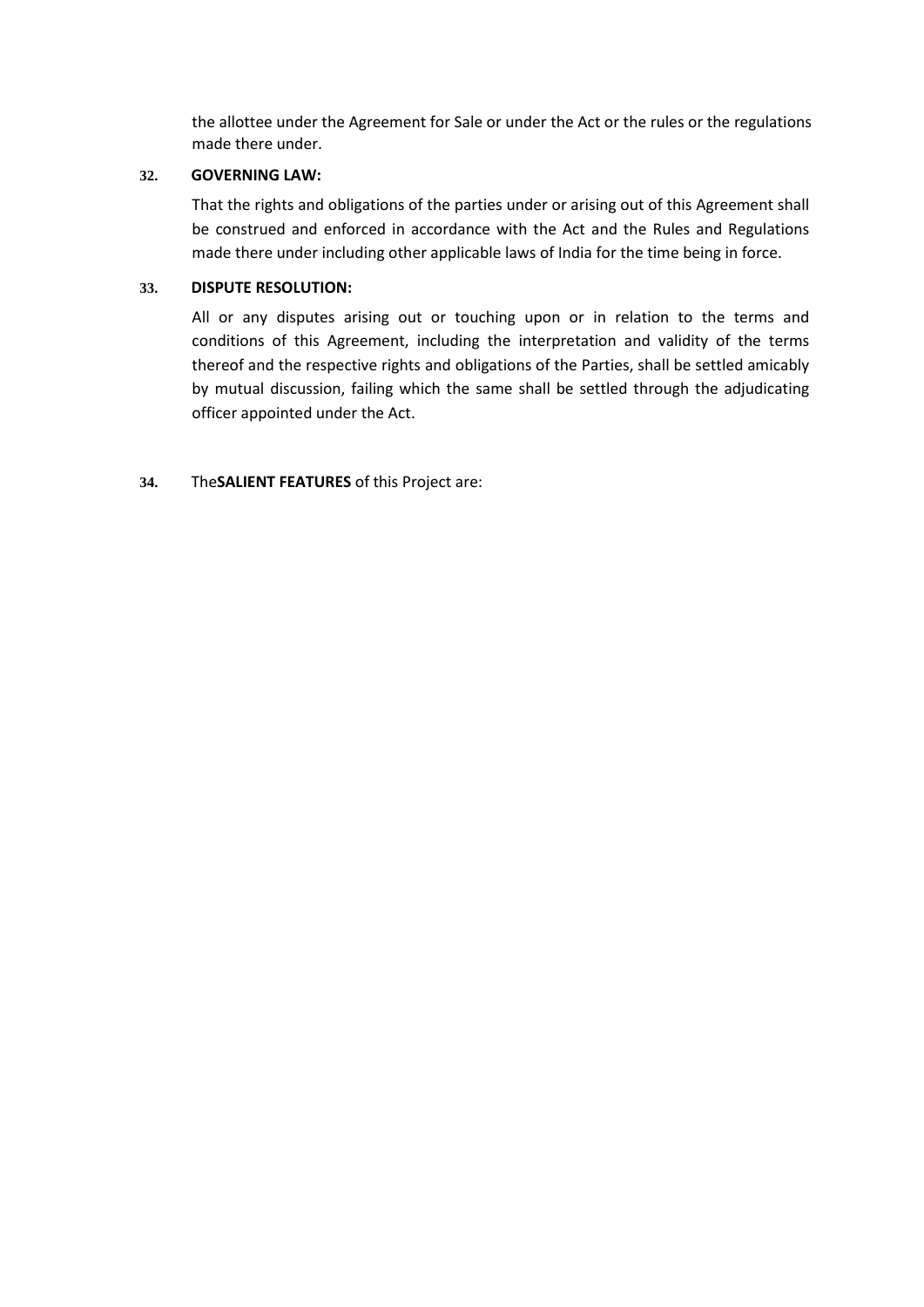the allottee under the Agreement for Sale or under the Act or the rules or the regulations made there under.

### **32. GOVERNING LAW:**

That the rights and obligations of the parties under or arising out of this Agreement shall be construed and enforced in accordance with the Act and the Rules and Regulations made there under including other applicable laws of India for the time being in force.

## **33. DISPUTE RESOLUTION:**

All or any disputes arising out or touching upon or in relation to the terms and conditions of this Agreement, including the interpretation and validity of the terms thereof and the respective rights and obligations of the Parties, shall be settled amicably by mutual discussion, failing which the same shall be settled through the adjudicating officer appointed under the Act.

# **34.** The**SALIENT FEATURES** of this Project are: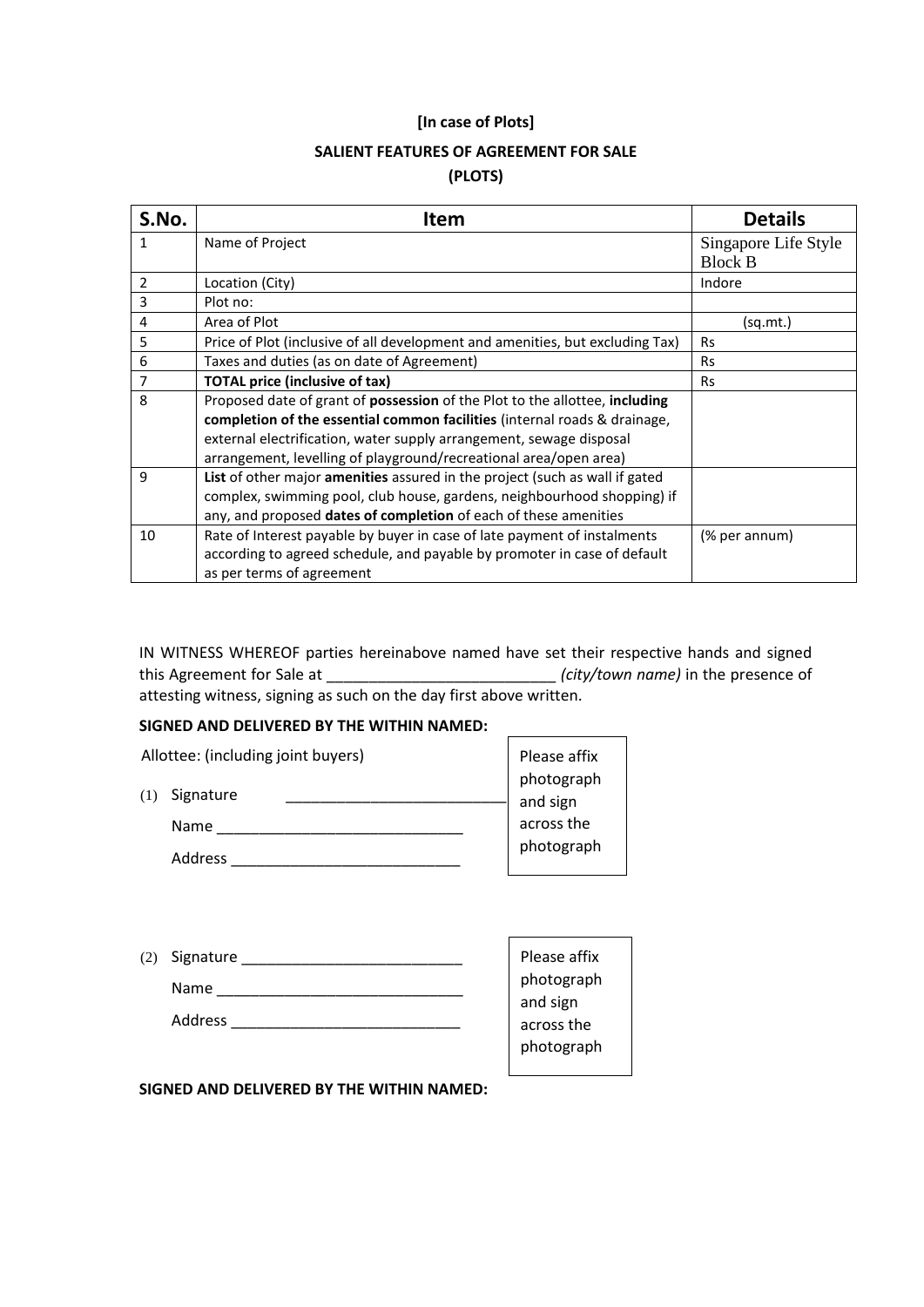### **[In case of Plots]**

# **SALIENT FEATURES OF AGREEMENT FOR SALE**

# **(PLOTS)**

| S.No.          | <b>Item</b>                                                                                                                                                                                                                                                                                          | <b>Details</b>                         |
|----------------|------------------------------------------------------------------------------------------------------------------------------------------------------------------------------------------------------------------------------------------------------------------------------------------------------|----------------------------------------|
| 1              | Name of Project                                                                                                                                                                                                                                                                                      | Singapore Life Style<br><b>Block B</b> |
| $\overline{2}$ | Location (City)                                                                                                                                                                                                                                                                                      | Indore                                 |
| 3              | Plot no:                                                                                                                                                                                                                                                                                             |                                        |
| 4              | Area of Plot                                                                                                                                                                                                                                                                                         | (sq.mt.)                               |
| 5              | Price of Plot (inclusive of all development and amenities, but excluding Tax)                                                                                                                                                                                                                        | <b>Rs</b>                              |
| 6              | Taxes and duties (as on date of Agreement)                                                                                                                                                                                                                                                           | <b>Rs</b>                              |
| 7              | <b>TOTAL price (inclusive of tax)</b>                                                                                                                                                                                                                                                                | <b>Rs</b>                              |
| 8              | Proposed date of grant of possession of the Plot to the allottee, including<br>completion of the essential common facilities (internal roads & drainage,<br>external electrification, water supply arrangement, sewage disposal<br>arrangement, levelling of playground/recreational area/open area) |                                        |
| 9              | List of other major amenities assured in the project (such as wall if gated<br>complex, swimming pool, club house, gardens, neighbourhood shopping) if<br>any, and proposed dates of completion of each of these amenities                                                                           |                                        |
| 10             | Rate of Interest payable by buyer in case of late payment of instalments<br>according to agreed schedule, and payable by promoter in case of default<br>as per terms of agreement                                                                                                                    | (% per annum)                          |

IN WITNESS WHEREOF parties hereinabove named have set their respective hands and signed this Agreement for Sale at \_\_\_\_\_\_\_\_\_\_\_\_\_\_\_\_\_\_\_\_\_\_\_\_\_\_\_ *(city/town name)* in the presence of attesting witness, signing as such on the day first above written.

## **SIGNED AND DELIVERED BY THE WITHIN NAMED:**

| Allottee: (including joint buyers) | Please affix |            |  |
|------------------------------------|--------------|------------|--|
|                                    |              | photograph |  |
| Signature<br>(1)                   |              | and sign   |  |
| Name                               |              | across the |  |
| Address                            |              | photograph |  |

| (2) Signature |  |
|---------------|--|
| Name          |  |
| Address       |  |

Please affix photograph and sign across the photograph

 $\overline{\phantom{a}}$ 

**SIGNED AND DELIVERED BY THE WITHIN NAMED:**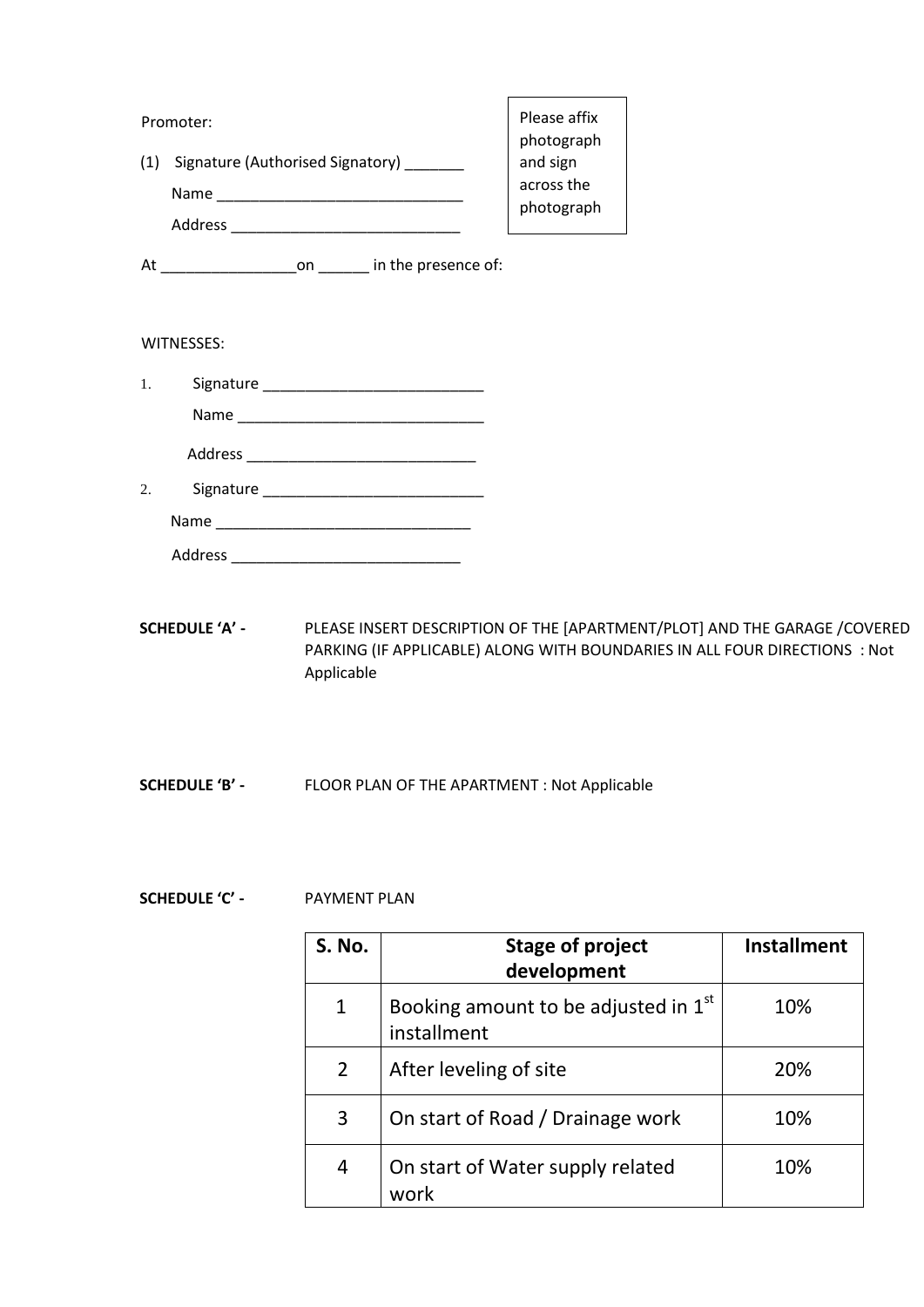|    | Promoter:                                                    | Please affix<br>photograph |
|----|--------------------------------------------------------------|----------------------------|
|    | (1) Signature (Authorised Signatory) _______                 | and sign                   |
|    |                                                              | across the<br>photograph   |
|    |                                                              |                            |
|    | At _________________________on _________ in the presence of: |                            |
|    | WITNESSES:                                                   |                            |
| 1. |                                                              |                            |
|    |                                                              |                            |
|    |                                                              |                            |
| 2. |                                                              |                            |

Name \_\_\_\_\_\_\_\_\_\_\_\_\_\_\_\_\_\_\_\_\_\_\_\_\_\_\_\_\_\_ Address \_\_\_\_\_\_\_\_\_\_\_\_\_\_\_\_\_\_\_\_\_\_\_\_\_\_\_

- **SCHEDULE 'A'** PLEASE INSERT DESCRIPTION OF THE [APARTMENT/PLOT] AND THE GARAGE /COVERED PARKING (IF APPLICABLE) ALONG WITH BOUNDARIES IN ALL FOUR DIRECTIONS : Not Applicable
- **SCHEDULE 'B'** FLOOR PLAN OF THE APARTMENT : Not Applicable

# **SCHEDULE 'C' -** PAYMENT PLAN

| S. No.         | <b>Stage of project</b><br>development              | <b>Installment</b> |
|----------------|-----------------------------------------------------|--------------------|
| $\mathbf{1}$   | Booking amount to be adjusted in 1st<br>installment | 10%                |
| $\overline{2}$ | After leveling of site                              | 20%                |
| 3              | On start of Road / Drainage work                    | 10%                |
| 4              | On start of Water supply related<br>work            | 10%                |